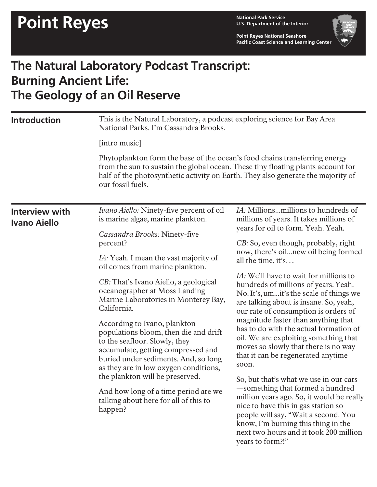**U.S. Department of the Interior**

**Point Reyes National Seashore Pacific Coast Science and Learning Center**



## **The Natural Laboratory Podcast Transcript: Burning Ancient Life: The Geology of an Oil Reserve**

| [intro music]<br>Phytoplankton form the base of the ocean's food chains transferring energy<br>from the sun to sustain the global ocean. These tiny floating plants account for<br>half of the photosynthetic activity on Earth. They also generate the majority of<br>our fossil fuels.<br>IA: Millionsmillions to hundreds of<br>Ivano Aiello: Ninety-five percent of oil<br><b>Interview with</b><br>millions of years. It takes millions of<br>is marine algae, marine plankton.<br><b>Ivano Aiello</b><br>years for oil to form. Yeah. Yeah.<br>Cassandra Brooks: Ninety-five<br>CB: So, even though, probably, right<br>percent?<br>now, there's oil new oil being formed<br><i>IA</i> : Yeah. I mean the vast majority of<br>all the time, it's<br>oil comes from marine plankton.<br><i>IA</i> : We'll have to wait for millions to<br>CB: That's Ivano Aiello, a geological<br>hundreds of millions of years. Yeah.<br>oceanographer at Moss Landing<br>No. It's, umit's the scale of things we<br>Marine Laboratories in Monterey Bay,<br>are talking about is insane. So, yeah,<br>California.<br>our rate of consumption is orders of<br>magnitude faster than anything that<br>According to Ivano, plankton<br>has to do with the actual formation of<br>populations bloom, then die and drift<br>oil. We are exploiting something that<br>to the seafloor. Slowly, they<br>moves so slowly that there is no way<br>accumulate, getting compressed and<br>that it can be regenerated anytime<br>buried under sediments. And, so long<br>soon.<br>as they are in low oxygen conditions,<br>the plankton will be preserved.<br>So, but that's what we use in our cars<br>-something that formed a hundred<br>And how long of a time period are we<br>million years ago. So, it would be really<br>talking about here for all of this to<br>nice to have this in gas station so<br>happen?<br>people will say, "Wait a second. You<br>know, I'm burning this thing in the<br>next two hours and it took 200 million<br>years to form?!" | <b>Introduction</b> | This is the Natural Laboratory, a podcast exploring science for Bay Area<br>National Parks. I'm Cassandra Brooks. |  |
|---------------------------------------------------------------------------------------------------------------------------------------------------------------------------------------------------------------------------------------------------------------------------------------------------------------------------------------------------------------------------------------------------------------------------------------------------------------------------------------------------------------------------------------------------------------------------------------------------------------------------------------------------------------------------------------------------------------------------------------------------------------------------------------------------------------------------------------------------------------------------------------------------------------------------------------------------------------------------------------------------------------------------------------------------------------------------------------------------------------------------------------------------------------------------------------------------------------------------------------------------------------------------------------------------------------------------------------------------------------------------------------------------------------------------------------------------------------------------------------------------------------------------------------------------------------------------------------------------------------------------------------------------------------------------------------------------------------------------------------------------------------------------------------------------------------------------------------------------------------------------------------------------------------------------------------------------------------------------------------------------------------------------------------------------|---------------------|-------------------------------------------------------------------------------------------------------------------|--|
|                                                                                                                                                                                                                                                                                                                                                                                                                                                                                                                                                                                                                                                                                                                                                                                                                                                                                                                                                                                                                                                                                                                                                                                                                                                                                                                                                                                                                                                                                                                                                                                                                                                                                                                                                                                                                                                                                                                                                                                                                                                   |                     |                                                                                                                   |  |
|                                                                                                                                                                                                                                                                                                                                                                                                                                                                                                                                                                                                                                                                                                                                                                                                                                                                                                                                                                                                                                                                                                                                                                                                                                                                                                                                                                                                                                                                                                                                                                                                                                                                                                                                                                                                                                                                                                                                                                                                                                                   |                     |                                                                                                                   |  |
|                                                                                                                                                                                                                                                                                                                                                                                                                                                                                                                                                                                                                                                                                                                                                                                                                                                                                                                                                                                                                                                                                                                                                                                                                                                                                                                                                                                                                                                                                                                                                                                                                                                                                                                                                                                                                                                                                                                                                                                                                                                   |                     |                                                                                                                   |  |